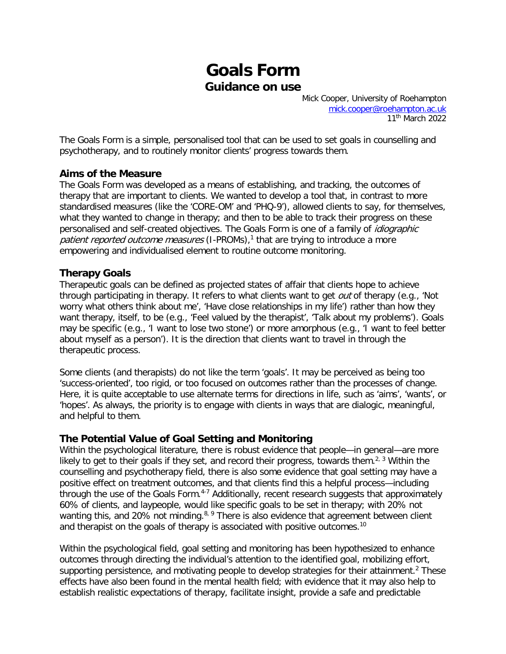## **Goals Form Guidance on use**

Mick Cooper, University of Roehampton [mick.cooper@roehampton.ac.uk](mailto:mick.cooper@roehampton.ac.uk) 11<sup>th</sup> March 2022

The Goals Form is a simple, personalised tool that can be used to set goals in counselling and psychotherapy, and to routinely monitor clients' progress towards them.

## **Aims of the Measure**

The Goals Form was developed as a means of establishing, and tracking, the outcomes of therapy that are important to clients. We wanted to develop a tool that, in contrast to more standardised measures (like the 'CORE-OM' and 'PHQ-9'), allowed clients to say, for themselves, what they wanted to change in therapy; and then to be able to track their progress on these personalised and self-created objectives. The Goals Form is one of a family of idiographic patient reported outcome measures (I-PROMs),<sup>[1](#page-7-0)</sup> that are trying to introduce a more empowering and individualised element to routine outcome monitoring.

## **Therapy Goals**

Therapeutic goals can be defined as projected states of affair that clients hope to achieve through participating in therapy. It refers to what clients want to get *out* of therapy (e.g., 'Not worry what others think about me', 'Have close relationships in my life') rather than how they want therapy, itself, to be (e.g., 'Feel valued by the therapist', 'Talk about my problems'). Goals may be specific (e.g., 'I want to lose two stone') or more amorphous (e.g., 'I want to feel better about myself as a person'). It is the direction that clients want to travel in through the therapeutic process.

Some clients (and therapists) do not like the term 'goals'. It may be perceived as being too 'success-oriented', too rigid, or too focused on outcomes rather than the processes of change. Here, it is quite acceptable to use alternate terms for directions in life, such as 'aims', 'wants', or 'hopes'. As always, the priority is to engage with clients in ways that are dialogic, meaningful, and helpful to them.

## **The Potential Value of Goal Setting and Monitoring**

Within the psychological literature, there is robust evidence that people—in general—are more likely to get to their goals if they set, and record their progress, towards them.<sup>[2,](#page-7-1) [3](#page-7-2)</sup> Within the counselling and psychotherapy field, there is also some evidence that goal setting may have a positive effect on treatment outcomes, and that clients find this a helpful process—including through the use of the Goals Form.<sup>[4-7](#page-7-3)</sup> Additionally, recent research suggests that approximately 60% of clients, and laypeople, would like specific goals to be set in therapy; with 20% not wanting this, and 20% not minding.<sup>[8,](#page-7-4) [9](#page-7-5)</sup> There is also evidence that agreement between client and therapist on the goals of therapy is associated with positive outcomes.<sup>[10](#page-7-6)</sup>

Within the psychological field, goal setting and monitoring has been hypothesized to enhance outcomes through directing the individual's attention to the identified goal, mobilizing effort, supporting persistence, and motivating people to develop strategies for their attainment.<sup>[2](#page-7-1)</sup> These effects have also been found in the mental health field; with evidence that it may also help to establish realistic expectations of therapy, facilitate insight, provide a safe and predictable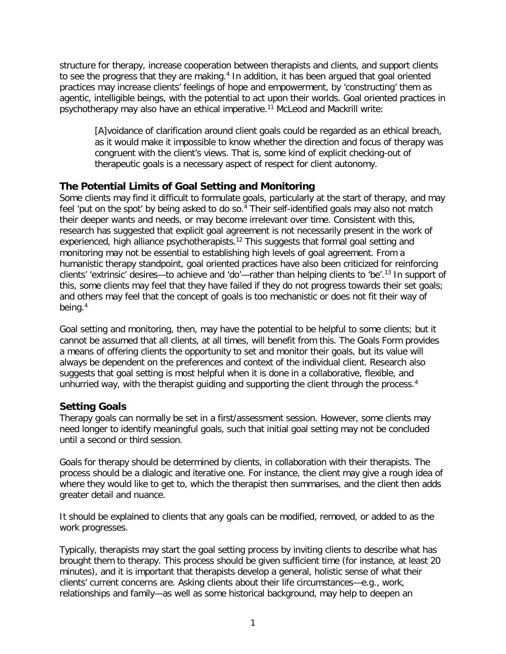structure for therapy, increase cooperation between therapists and clients, and support clients to see the progress that they are making.<sup>[4](#page-7-3)</sup> In addition, it has been argued that goal oriented practices may increase clients' feelings of hope and empowerment, by 'constructing' them as agentic, intelligible beings, with the potential to act upon their worlds. Goal oriented practices in psychotherapy may also have an ethical imperative.[11](#page-7-7) McLeod and Mackrill write:

[A]voidance of clarification around client goals could be regarded as an ethical breach, as it would make it impossible to know whether the direction and focus of therapy was congruent with the client's views. That is, some kind of explicit checking-out of therapeutic goals is a necessary aspect of respect for client autonomy.

## **The Potential Limits of Goal Setting and Monitoring**

Some clients may find it difficult to formulate goals, particularly at the start of therapy, and may feel 'put on the spot' by being asked to do so. [4](#page-7-3) Their self-identified goals may also not match their deeper wants and needs, or may become irrelevant over time. Consistent with this, research has suggested that explicit goal agreement is not necessarily present in the work of experienced, high alliance psychotherapists.<sup>[12](#page-7-8)</sup> This suggests that formal goal setting and monitoring may not be essential to establishing high levels of goal agreement. From a humanistic therapy standpoint, goal oriented practices have also been criticized for reinforcing clients' 'extrinsic' desires—to achieve and 'do'—rather than helping clients to 'be'.[13](#page-7-9) In support of this, some clients may feel that they have failed if they do not progress towards their set goals; and others may feel that the concept of goals is too mechanistic or does not fit their way of being.[4](#page-7-3)

Goal setting and monitoring, then, may have the potential to be helpful to some clients; but it cannot be assumed that all clients, at all times, will benefit from this. The Goals Form provides a means of offering clients the opportunity to set and monitor their goals, but its value will always be dependent on the preferences and context of the individual client. Research also suggests that goal setting is most helpful when it is done in a collaborative, flexible, and unhurried way, with the therapist guiding and supporting the client through the process[.](#page-7-3)<sup>4</sup>

## **Setting Goals**

Therapy goals can normally be set in a first/assessment session. However, some clients may need longer to identify meaningful goals, such that initial goal setting may not be concluded until a second or third session.

Goals for therapy should be determined by clients, in collaboration with their therapists. The process should be a dialogic and iterative one. For instance, the client may give a rough idea of where they would like to get to, which the therapist then summarises, and the client then adds greater detail and nuance.

It should be explained to clients that any goals can be modified, removed, or added to as the work progresses.

Typically, therapists may start the goal setting process by inviting clients to describe what has brought them to therapy. This process should be given sufficient time (for instance, at least 20 minutes), and it is important that therapists develop a general, holistic sense of what their clients' current concerns are. Asking clients about their life circumstances—e.g., work, relationships and family—as well as some historical background, may help to deepen an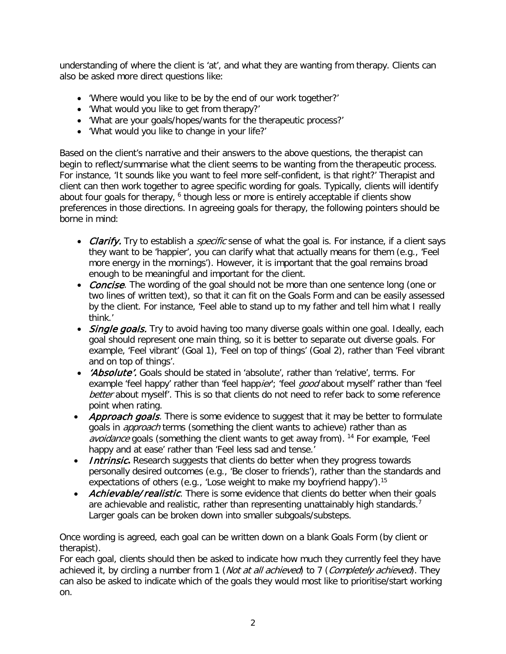understanding of where the client is 'at', and what they are wanting from therapy. Clients can also be asked more direct questions like:

- 'Where would you like to be by the end of our work together?'
- 'What would you like to get from therapy?'
- 'What are your goals/hopes/wants for the therapeutic process?'
- 'What would you like to change in your life?'

Based on the client's narrative and their answers to the above questions, the therapist can begin to reflect/summarise what the client seems to be wanting from the therapeutic process. For instance, 'It sounds like you want to feel more self-confident, is that right?' Therapist and client can then work together to agree specific wording for goals. Typically, clients will identify about four goals for therapy, <sup>[6](#page-7-10)</sup> though less or more is entirely acceptable if clients show preferences in those directions. In agreeing goals for therapy, the following pointers should be borne in mind:

- Clarify. Try to establish a *specific* sense of what the goal is. For instance, if a client says they want to be 'happier', you can clarify what that actually means for them (e.g., 'Feel more energy in the mornings'). However, it is important that the goal remains broad enough to be meaningful and important for the client.
- Concise. The wording of the goal should not be more than one sentence long (one or two lines of written text), so that it can fit on the Goals Form and can be easily assessed by the client. For instance, 'Feel able to stand up to my father and tell him what I really think.'
- Single goals. Try to avoid having too many diverse goals within one goal. Ideally, each goal should represent one main thing, so it is better to separate out diverse goals. For example, 'Feel vibrant' (Goal 1), 'Feel on top of things' (Goal 2), rather than 'Feel vibrant and on top of things'.
- *'Absolute'*. Goals should be stated in 'absolute', rather than 'relative', terms. For example 'feel happy' rather than 'feel happier'; 'feel good about myself' rather than 'feel better about myself'. This is so that clients do not need to refer back to some reference point when rating.
- Approach goals. There is some evidence to suggest that it may be better to formulate goals in *approach* terms (something the client wants to achieve) rather than as avoidance goals (something the client wants to get away from). <sup>[14](#page-7-11)</sup> For example, 'Feel happy and at ease' rather than 'Feel less sad and tense.'
- *Intrinsic*. Research suggests that clients do better when they progress towards personally desired outcomes (e.g., 'Be closer to friends'), rather than the standards and expectations of others (e.g., 'Lose weight to make my boyfriend happy').<sup>[15](#page-7-12)</sup>
- Achievable/realistic. There is some evidence that clients do better when their goals are achievable and realistic, rather than representing unattainably high standards.<sup>[7](#page-7-13)</sup> Larger goals can be broken down into smaller subgoals/substeps.

Once wording is agreed, each goal can be written down on a blank Goals Form (by client or therapist).

For each goal, clients should then be asked to indicate how much they currently feel they have achieved it, by circling a number from 1 (Not at all achieved) to 7 (Completely achieved). They can also be asked to indicate which of the goals they would most like to prioritise/start working on.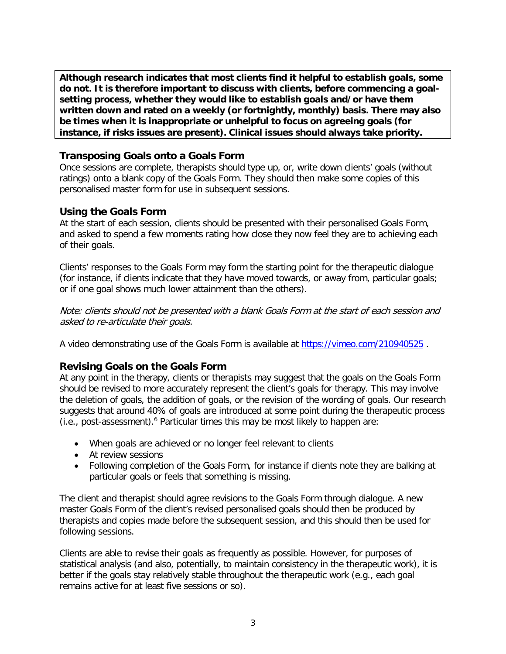**Although research indicates that most clients find it helpful to establish goals, some do not. It is therefore important to discuss with clients, before commencing a goalsetting process, whether they would like to establish goals and/or have them written down and rated on a weekly (or fortnightly, monthly) basis. There may also be times when it is inappropriate or unhelpful to focus on agreeing goals (for instance, if risks issues are present). Clinical issues should always take priority.** 

## **Transposing Goals onto a Goals Form**

Once sessions are complete, therapists should type up, or, write down clients' goals (without ratings) onto a blank copy of the Goals Form. They should then make some copies of this personalised master form for use in subsequent sessions.

## **Using the Goals Form**

At the start of each session, clients should be presented with their personalised Goals Form, and asked to spend a few moments rating how close they now feel they are to achieving each of their goals.

Clients' responses to the Goals Form may form the starting point for the therapeutic dialogue (for instance, if clients indicate that they have moved towards, or away from, particular goals; or if one goal shows much lower attainment than the others).

Note: clients should not be presented with a blank Goals Form at the start of each session and asked to re-articulate their goals.

A video demonstrating use of the Goals Form is available at<https://vimeo.com/210940525> .

## **Revising Goals on the Goals Form**

At any point in the therapy, clients or therapists may suggest that the goals on the Goals Form should be revised to more accurately represent the client's goals for therapy. This may involve the deletion of goals, the addition of goals, or the revision of the wording of goals. Our research suggests that around 40% of goals are introduced at some point during the therapeutic process (i.e., post-assessment). [6](#page-7-10) Particular times this may be most likely to happen are:

- When goals are achieved or no longer feel relevant to clients
- At review sessions
- Following completion of the Goals Form, for instance if clients note they are balking at particular goals or feels that something is missing.

The client and therapist should agree revisions to the Goals Form through dialogue. A new master Goals Form of the client's revised personalised goals should then be produced by therapists and copies made before the subsequent session, and this should then be used for following sessions.

Clients are able to revise their goals as frequently as possible. However, for purposes of statistical analysis (and also, potentially, to maintain consistency in the therapeutic work), it is better if the goals stay relatively stable throughout the therapeutic work (e.g., each goal remains active for at least five sessions or so).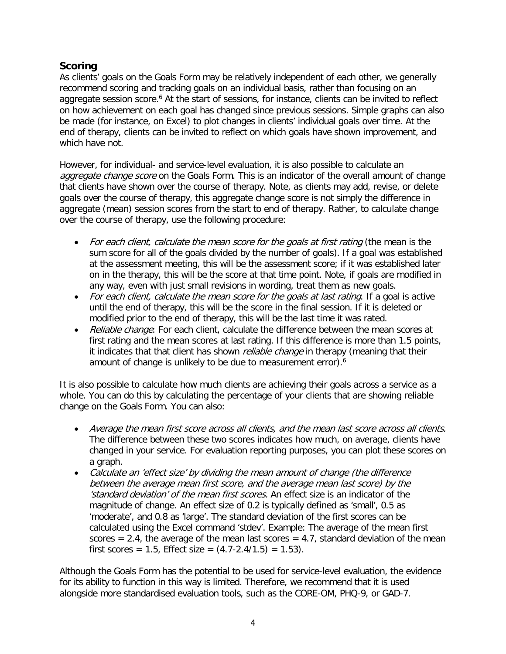## **Scoring**

As clients' goals on the Goals Form may be relatively independent of each other, we generally recommend scoring and tracking goals on an individual basis, rather than focusing on an aggregate session score.<sup>[6](#page-7-10)</sup> At the start of sessions, for instance, clients can be invited to reflect on how achievement on each goal has changed since previous sessions. Simple graphs can also be made (for instance, on Excel) to plot changes in clients' individual goals over time. At the end of therapy, clients can be invited to reflect on which goals have shown improvement, and which have not.

However, for individual- and service-level evaluation, it is also possible to calculate an aggregate change score on the Goals Form. This is an indicator of the overall amount of change that clients have shown over the course of therapy. Note, as clients may add, revise, or delete goals over the course of therapy, this aggregate change score is not simply the difference in aggregate (mean) session scores from the start to end of therapy. Rather, to calculate change over the course of therapy, use the following procedure:

- For each client, calculate the mean score for the goals at first rating (the mean is the sum score for all of the goals divided by the number of goals). If a goal was established at the assessment meeting, this will be the assessment score; if it was established later on in the therapy, this will be the score at that time point. Note, if goals are modified in any way, even with just small revisions in wording, treat them as new goals.
- For each client, calculate the mean score for the goals at last rating. If a goal is active until the end of therapy, this will be the score in the final session. If it is deleted or modified prior to the end of therapy, this will be the last time it was rated.
- Reliable change: For each client, calculate the difference between the mean scores at first rating and the mean scores at last rating. If this difference is more than 1.5 points, it indicates that that client has shown *reliable change* in therapy (meaning that their amount of change is unlikely to be due to measurement error)[.](#page-7-10) 6

It is also possible to calculate how much clients are achieving their goals across a service as a whole. You can do this by calculating the percentage of your clients that are showing reliable change on the Goals Form. You can also:

- Average the mean first score across all clients, and the mean last score across all clients. The difference between these two scores indicates how much, on average, clients have changed in your service. For evaluation reporting purposes, you can plot these scores on a graph.
- Calculate an 'effect size' by dividing the mean amount of change (the difference between the average mean first score, and the average mean last score) by the 'standard deviation' of the mean first scores. An effect size is an indicator of the magnitude of change. An effect size of 0.2 is typically defined as 'small', 0.5 as 'moderate', and 0.8 as 'large'. The standard deviation of the first scores can be calculated using the Excel command 'stdev'. Example: The average of the mean first scores  $= 2.4$ , the average of the mean last scores  $= 4.7$ , standard deviation of the mean first scores = 1.5, Effect size =  $(4.7 - 2.4/1.5) = 1.53$ ).

Although the Goals Form has the potential to be used for service-level evaluation, the evidence for its ability to function in this way is limited. Therefore, we recommend that it is used alongside more standardised evaluation tools, such as the CORE-OM, PHQ-9, or GAD-7.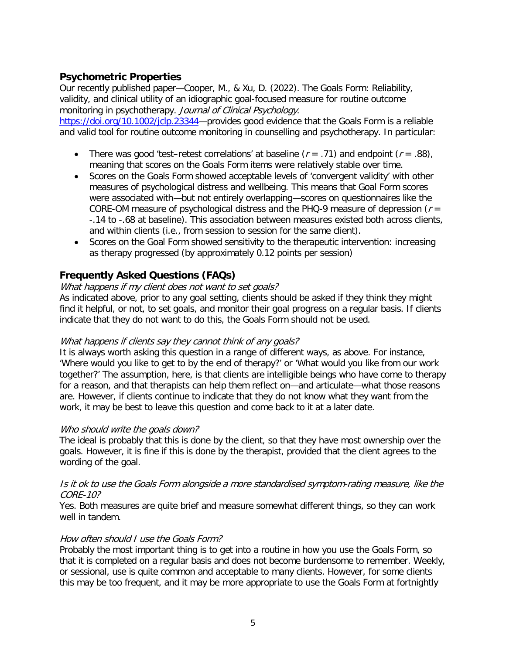## **Psychometric Properties**

Our recently published paper—Cooper, M., & Xu, D. (2022). The Goals Form: Reliability, validity, and clinical utility of an idiographic goal-focused measure for routine outcome monitoring in psychotherapy. Journal of Clinical Psychology.

[https://doi.org/10.1002/jclp.23344—](https://doi.org/10.1002/jclp.23344)provides good evidence that the Goals Form is a reliable and valid tool for routine outcome monitoring in counselling and psychotherapy. In particular:

- There was good 'test-retest correlations' at baseline ( $r = .71$ ) and endpoint ( $r = .88$ ), meaning that scores on the Goals Form items were relatively stable over time.
- Scores on the Goals Form showed acceptable levels of 'convergent validity' with other measures of psychological distress and wellbeing. This means that Goal Form scores were associated with—but not entirely overlapping—scores on questionnaires like the CORE-OM measure of psychological distress and the PHQ-9 measure of depression ( $r =$ -.14 to -.68 at baseline). This association between measures existed both across clients, and within clients (i.e., from session to session for the same client).
- Scores on the Goal Form showed sensitivity to the therapeutic intervention: increasing as therapy progressed (by approximately 0.12 points per session)

## **Frequently Asked Questions (FAQs)**

### What happens if my client does not want to set goals?

As indicated above, prior to any goal setting, clients should be asked if they think they might find it helpful, or not, to set goals, and monitor their goal progress on a regular basis. If clients indicate that they do not want to do this, the Goals Form should not be used.

### What happens if clients say they cannot think of any goals?

It is always worth asking this question in a range of different ways, as above. For instance, 'Where would you like to get to by the end of therapy?' or 'What would you like from our work together?' The assumption, here, is that clients are intelligible beings who have come to therapy for a reason, and that therapists can help them reflect on—and articulate—what those reasons are. However, if clients continue to indicate that they do not know what they want from the work, it may be best to leave this question and come back to it at a later date.

### Who should write the goals down?

The ideal is probably that this is done by the client, so that they have most ownership over the goals. However, it is fine if this is done by the therapist, provided that the client agrees to the wording of the goal.

### Is it ok to use the Goals Form alongside a more standardised symptom-rating measure, like the CORE-10?

Yes. Both measures are quite brief and measure somewhat different things, so they can work well in tandem.

### How often should I use the Goals Form?

Probably the most important thing is to get into a routine in how you use the Goals Form, so that it is completed on a regular basis and does not become burdensome to remember. Weekly, or sessional, use is quite common and acceptable to many clients. However, for some clients this may be too frequent, and it may be more appropriate to use the Goals Form at fortnightly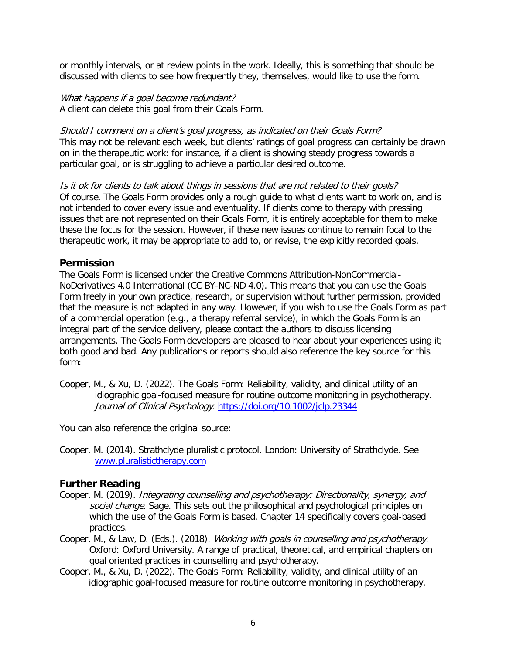or monthly intervals, or at review points in the work. Ideally, this is something that should be discussed with clients to see how frequently they, themselves, would like to use the form.

What happens if a goal become redundant? A client can delete this goal from their Goals Form.

Should I comment on a client's goal progress, as indicated on their Goals Form? This may not be relevant each week, but clients' ratings of goal progress can certainly be drawn on in the therapeutic work: for instance, if a client is showing steady progress towards a particular goal, or is struggling to achieve a particular desired outcome.

Is it ok for clients to talk about things in sessions that are not related to their goals? Of course. The Goals Form provides only a rough guide to what clients want to work on, and is not intended to cover every issue and eventuality. If clients come to therapy with pressing issues that are not represented on their Goals Form, it is entirely acceptable for them to make these the focus for the session. However, if these new issues continue to remain focal to the therapeutic work, it may be appropriate to add to, or revise, the explicitly recorded goals.

## **Permission**

The Goals Form is licensed under the Creative Commons Attribution-NonCommercial-NoDerivatives 4.0 International (CC BY-NC-ND 4.0). This means that you can use the Goals Form freely in your own practice, research, or supervision without further permission, provided that the measure is not adapted in any way. However, if you wish to use the Goals Form as part of a commercial operation (e.g., a therapy referral service), in which the Goals Form is an integral part of the service delivery, please contact the authors to discuss licensing arrangements. The Goals Form developers are pleased to hear about your experiences using it; both good and bad. Any publications or reports should also reference the key source for this form:

Cooper, M., & Xu, D. (2022). The Goals Form: Reliability, validity, and clinical utility of an idiographic goal-focused measure for routine outcome monitoring in psychotherapy. Journal of Clinical Psychology.<https://doi.org/10.1002/jclp.23344>

You can also reference the original source:

Cooper, M. (2014). Strathclyde pluralistic protocol. London: University of Strathclyde. See [www.pluralistictherapy.com](http://www.pluralistictherapy.com/)

## **Further Reading**

- Cooper, M. (2019). Integrating counselling and psychotherapy: Directionality, synergy, and social change. Sage. This sets out the philosophical and psychological principles on which the use of the Goals Form is based. Chapter 14 specifically covers goal-based practices.
- Cooper, M., & Law, D. (Eds.). (2018). Working with goals in counselling and psychotherapy. Oxford: Oxford University. A range of practical, theoretical, and empirical chapters on goal oriented practices in counselling and psychotherapy.
- Cooper, M., & Xu, D. (2022). The Goals Form: Reliability, validity, and clinical utility of an idiographic goal-focused measure for routine outcome monitoring in psychotherapy.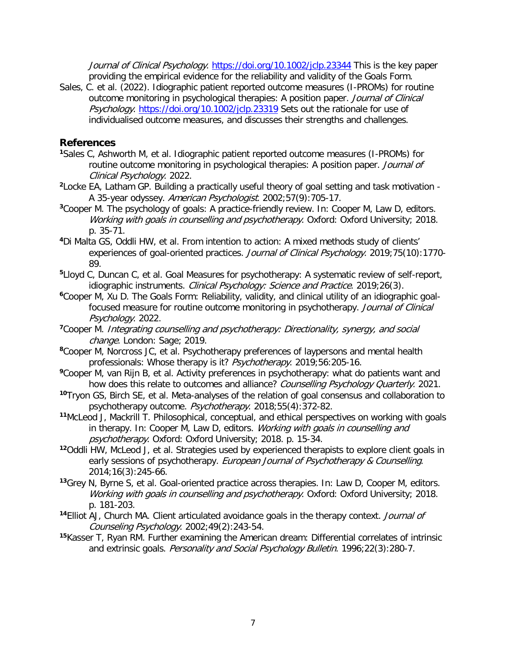Journal of Clinical Psychology.<https://doi.org/10.1002/jclp.23344> This is the key paper providing the empirical evidence for the reliability and validity of the Goals Form.

Sales, C. et al. (2022). Idiographic patient reported outcome measures (I-PROMs) for routine outcome monitoring in psychological therapies: A position paper. Journal of Clinical Psychology.<https://doi.org/10.1002/jclp.23319> Sets out the rationale for use of individualised outcome measures, and discusses their strengths and challenges.

## **References**

- <span id="page-7-0"></span>**<sup>1</sup>**Sales C, Ashworth M, et al. Idiographic patient reported outcome measures (I-PROMs) for routine outcome monitoring in psychological therapies: A position paper. Journal of Clinical Psychology. 2022.
- <span id="page-7-1"></span>**<sup>2</sup>**Locke EA, Latham GP. Building a practically useful theory of goal setting and task motivation - A 35-year odyssey. American Psychologist. 2002;57(9):705-17.
- <span id="page-7-2"></span>**<sup>3</sup>**Cooper M. The psychology of goals: A practice-friendly review. In: Cooper M, Law D, editors. Working with goals in counselling and psychotherapy. Oxford: Oxford University; 2018. p. 35-71.
- <span id="page-7-3"></span>**<sup>4</sup>**Di Malta GS, Oddli HW, et al. From intention to action: A mixed methods study of clients' experiences of goal-oriented practices. Journal of Clinical Psychology. 2019;75(10):1770-89.
- **<sup>5</sup>**Lloyd C, Duncan C, et al. Goal Measures for psychotherapy: A systematic review of self-report, idiographic instruments. Clinical Psychology: Science and Practice. 2019;26(3).
- <span id="page-7-10"></span>**<sup>6</sup>**Cooper M, Xu D. The Goals Form: Reliability, validity, and clinical utility of an idiographic goalfocused measure for routine outcome monitoring in psychotherapy. Journal of Clinical Psychology. 2022.
- <span id="page-7-13"></span>**<sup>7</sup>**Cooper M. Integrating counselling and psychotherapy: Directionality, synergy, and social change. London: Sage; 2019.
- <span id="page-7-4"></span>**<sup>8</sup>**Cooper M, Norcross JC, et al. Psychotherapy preferences of laypersons and mental health professionals: Whose therapy is it? Psychotherapy. 2019;56:205-16.
- <span id="page-7-5"></span>**<sup>9</sup>**Cooper M, van Rijn B, et al. Activity preferences in psychotherapy: what do patients want and how does this relate to outcomes and alliance? Counselling Psychology Quarterly. 2021.
- <span id="page-7-6"></span>**<sup>10</sup>**Tryon GS, Birch SE, et al. Meta-analyses of the relation of goal consensus and collaboration to psychotherapy outcome. Psychotherapy. 2018;55(4):372-82.
- <span id="page-7-7"></span>**<sup>11</sup>**McLeod J, Mackrill T. Philosophical, conceptual, and ethical perspectives on working with goals in therapy. In: Cooper M, Law D, editors. Working with goals in counselling and psychotherapy. Oxford: Oxford University; 2018. p. 15-34.
- <span id="page-7-8"></span>**<sup>12</sup>**Oddli HW, McLeod J, et al. Strategies used by experienced therapists to explore client goals in early sessions of psychotherapy. European Journal of Psychotherapy & Counselling. 2014;16(3):245-66.
- <span id="page-7-9"></span>**<sup>13</sup>**Grey N, Byrne S, et al. Goal-oriented practice across therapies. In: Law D, Cooper M, editors. Working with goals in counselling and psychotherapy. Oxford: Oxford University; 2018. p. 181-203.
- <span id="page-7-11"></span>**<sup>14</sup>**Elliot AJ, Church MA. Client articulated avoidance goals in the therapy context. Journal of Counseling Psychology. 2002;49(2):243-54.
- <span id="page-7-12"></span>**<sup>15</sup>**Kasser T, Ryan RM. Further examining the American dream: Differential correlates of intrinsic and extrinsic goals. Personality and Social Psychology Bulletin. 1996;22(3):280-7.